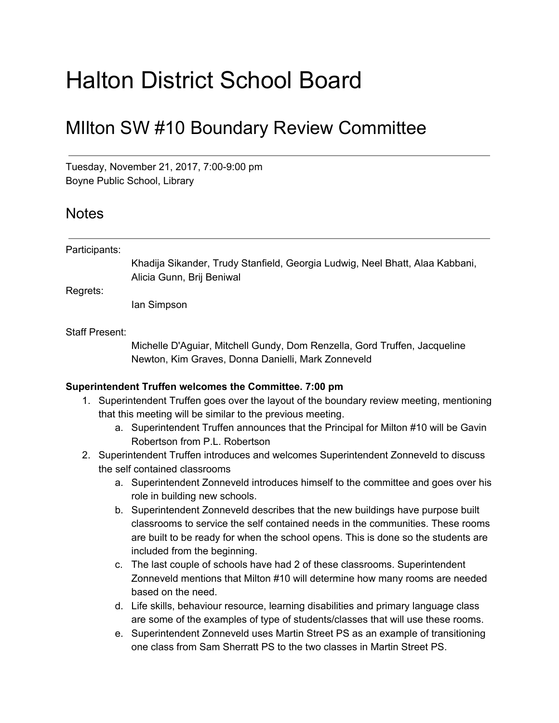# Halton District School Board

## MIlton SW #10 Boundary Review Committee

Tuesday, November 21, 2017, 7:00-9:00 pm Boyne Public School, Library

### **Notes**

#### Participants:

Khadija Sikander, Trudy Stanfield, Georgia Ludwig, Neel Bhatt, Alaa Kabbani, Alicia Gunn, Brij Beniwal

Regrets:

Ian Simpson

#### Staff Present:

Michelle D'Aguiar, Mitchell Gundy, Dom Renzella, Gord Truffen, Jacqueline Newton, Kim Graves, Donna Danielli, Mark Zonneveld

#### **Superintendent Truffen welcomes the Committee. 7:00 pm**

- 1. Superintendent Truffen goes over the layout of the boundary review meeting, mentioning that this meeting will be similar to the previous meeting.
	- a. Superintendent Truffen announces that the Principal for Milton #10 will be Gavin Robertson from P.L. Robertson
- 2. Superintendent Truffen introduces and welcomes Superintendent Zonneveld to discuss the self contained classrooms
	- a. Superintendent Zonneveld introduces himself to the committee and goes over his role in building new schools.
	- b. Superintendent Zonneveld describes that the new buildings have purpose built classrooms to service the self contained needs in the communities. These rooms are built to be ready for when the school opens. This is done so the students are included from the beginning.
	- c. The last couple of schools have had 2 of these classrooms. Superintendent Zonneveld mentions that Milton #10 will determine how many rooms are needed based on the need.
	- d. Life skills, behaviour resource, learning disabilities and primary language class are some of the examples of type of students/classes that will use these rooms.
	- e. Superintendent Zonneveld uses Martin Street PS as an example of transitioning one class from Sam Sherratt PS to the two classes in Martin Street PS.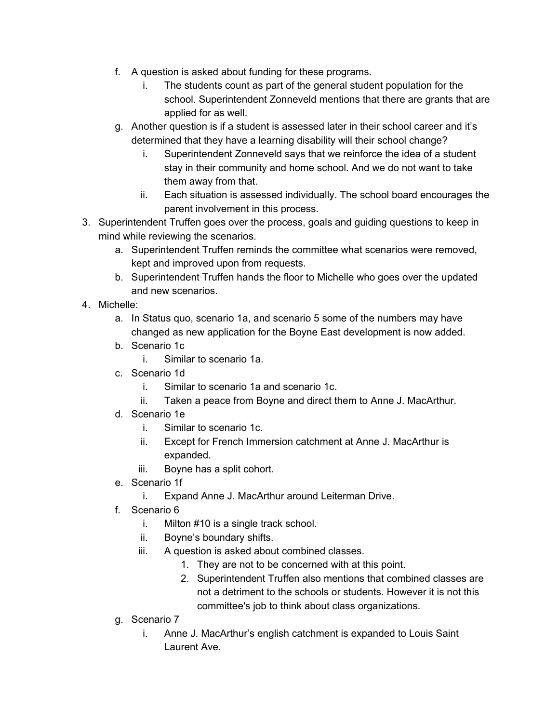- f. A question is asked about funding for these programs.
	- i. The students count as part of the general student population for the school. Superintendent Zonneveld mentions that there are grants that are applied for as well.
- g. Another question is if a student is assessed later in their school career and it's determined that they have a learning disability will their school change?
	- i. Superintendent Zonneveld says that we reinforce the idea of a student stay in their community and home school. And we do not want to take them away from that.
	- ii. Each situation is assessed individually. The school board encourages the parent involvement in this process.
- 3. Superintendent Truffen goes over the process, goals and guiding questions to keep in mind while reviewing the scenarios.
	- a. Superintendent Truffen reminds the committee what scenarios were removed, kept and improved upon from requests.
	- b. Superintendent Truffen hands the floor to Michelle who goes over the updated and new scenarios.
- 4. Michelle:
	- a. In Status quo, scenario 1a, and scenario 5 some of the numbers may have changed as new application for the Boyne East development is now added.
	- b. Scenario 1c
		- i. Similar to scenario 1a.
	- c. Scenario 1d
		- i. Similar to scenario 1a and scenario 1c.
		- ii. Taken a peace from Boyne and direct them to Anne J. MacArthur.
	- d. Scenario 1e
		- i. Similar to scenario 1c.
		- ii. Except for French Immersion catchment at Anne J. MacArthur is expanded.
		- iii. Boyne has a split cohort.
	- e. Scenario 1f
		- i. Expand Anne J. MacArthur around Leiterman Drive.
	- f. Scenario 6
		- i. Milton #10 is a single track school.
		- ii. Boyne's boundary shifts.
		- iii. A question is asked about combined classes.
			- 1. They are not to be concerned with at this point.
			- 2. Superintendent Truffen also mentions that combined classes are not a detriment to the schools or students. However it is not this committee's job to think about class organizations.
	- g. Scenario 7
		- i. Anne J. MacArthur's english catchment is expanded to Louis Saint Laurent Ave.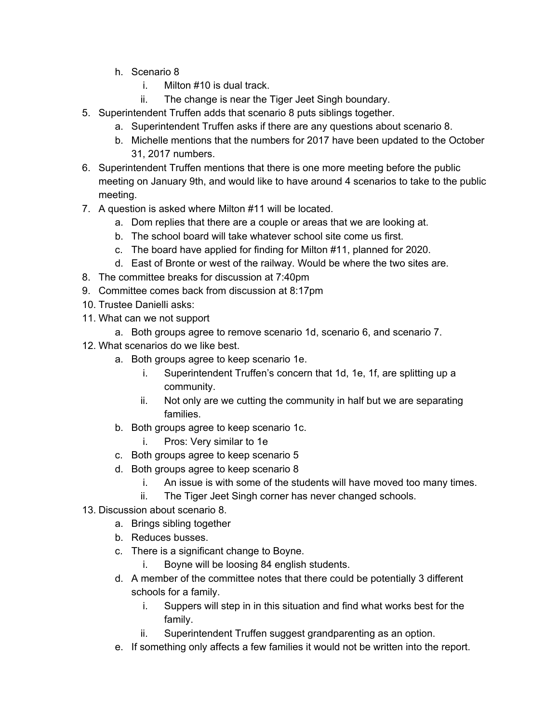- h. Scenario 8
	- i. Milton #10 is dual track.
	- ii. The change is near the Tiger Jeet Singh boundary.
- 5. Superintendent Truffen adds that scenario 8 puts siblings together.
	- a. Superintendent Truffen asks if there are any questions about scenario 8.
	- b. Michelle mentions that the numbers for 2017 have been updated to the October 31, 2017 numbers.
- 6. Superintendent Truffen mentions that there is one more meeting before the public meeting on January 9th, and would like to have around 4 scenarios to take to the public meeting.
- 7. A question is asked where Milton #11 will be located.
	- a. Dom replies that there are a couple or areas that we are looking at.
	- b. The school board will take whatever school site come us first.
	- c. The board have applied for finding for Milton #11, planned for 2020.
	- d. East of Bronte or west of the railway. Would be where the two sites are.
- 8. The committee breaks for discussion at 7:40pm
- 9. Committee comes back from discussion at 8:17pm
- 10. Trustee Danielli asks:
- 11. What can we not support
	- a. Both groups agree to remove scenario 1d, scenario 6, and scenario 7.
- 12. What scenarios do we like best.
	- a. Both groups agree to keep scenario 1e.
		- i. Superintendent Truffen's concern that 1d, 1e, 1f, are splitting up a community.
		- ii. Not only are we cutting the community in half but we are separating families.
	- b. Both groups agree to keep scenario 1c.
		- i. Pros: Very similar to 1e
	- c. Both groups agree to keep scenario 5
	- d. Both groups agree to keep scenario 8
		- i. An issue is with some of the students will have moved too many times.
		- ii. The Tiger Jeet Singh corner has never changed schools.
- 13. Discussion about scenario 8.
	- a. Brings sibling together
	- b. Reduces busses.
	- c. There is a significant change to Boyne.
		- i. Boyne will be loosing 84 english students.
	- d. A member of the committee notes that there could be potentially 3 different schools for a family.
		- i. Suppers will step in in this situation and find what works best for the family.
		- ii. Superintendent Truffen suggest grandparenting as an option.
	- e. If something only affects a few families it would not be written into the report.